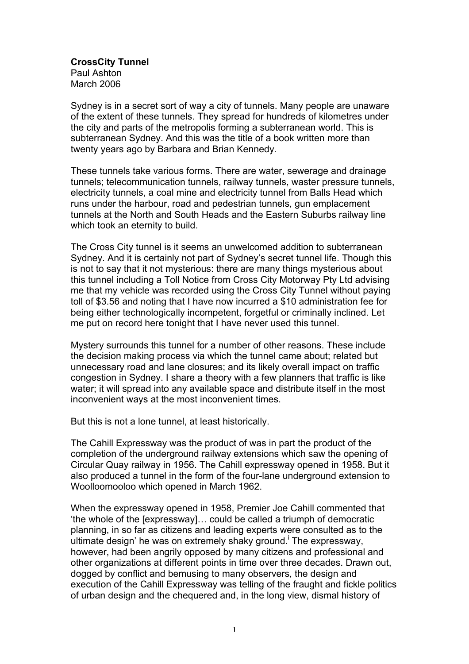**CrossCity Tunnel** Paul Ashton March 2006

Sydney is in a secret sort of way a city of tunnels. Many people are unaware of the extent of these tunnels. They spread for hundreds of kilometres under the city and parts of the metropolis forming a subterranean world. This is subterranean Sydney. And this was the title of a book written more than twenty years ago by Barbara and Brian Kennedy.

These tunnels take various forms. There are water, sewerage and drainage tunnels; telecommunication tunnels, railway tunnels, waster pressure tunnels, electricity tunnels, a coal mine and electricity tunnel from Balls Head which runs under the harbour, road and pedestrian tunnels, gun emplacement tunnels at the North and South Heads and the Eastern Suburbs railway line which took an eternity to build.

The Cross City tunnel is it seems an unwelcomed addition to subterranean Sydney. And it is certainly not part of Sydney's secret tunnel life. Though this is not to say that it not mysterious: there are many things mysterious about this tunnel including a Toll Notice from Cross City Motorway Pty Ltd advising me that my vehicle was recorded using the Cross City Tunnel without paying toll of \$3.56 and noting that I have now incurred a \$10 administration fee for being either technologically incompetent, forgetful or criminally inclined. Let me put on record here tonight that I have never used this tunnel.

Mystery surrounds this tunnel for a number of other reasons. These include the decision making process via which the tunnel came about; related but unnecessary road and lane closures; and its likely overall impact on traffic congestion in Sydney. I share a theory with a few planners that traffic is like water; it will spread into any available space and distribute itself in the most inconvenient ways at the most inconvenient times.

But this is not a lone tunnel, at least historically.

The Cahill Expressway was the product of was in part the product of the completion of the underground railway extensions which saw the opening of Circular Quay railway in 1956. The Cahill expressway opened in 1958. But it also produced a tunnel in the form of the four-lane underground extension to Woolloomooloo which opened in March 1962.

When the expressway opened in 1958, Premier Joe Cahill commented that 'the whole of the [expressway]… could be called a triumph of democratic planning, in so far as citizens and leading experts were consulted as to the ultimate design' he was on extremely shaky ground. The expressway, however, had been angrily opposed by many citizens and professional and other organizations at different points in time over three decades. Drawn out, dogged by conflict and bemusing to many observers, the design and execution of the Cahill Expressway was telling of the fraught and fickle politics of urban design and the chequered and, in the long view, dismal history of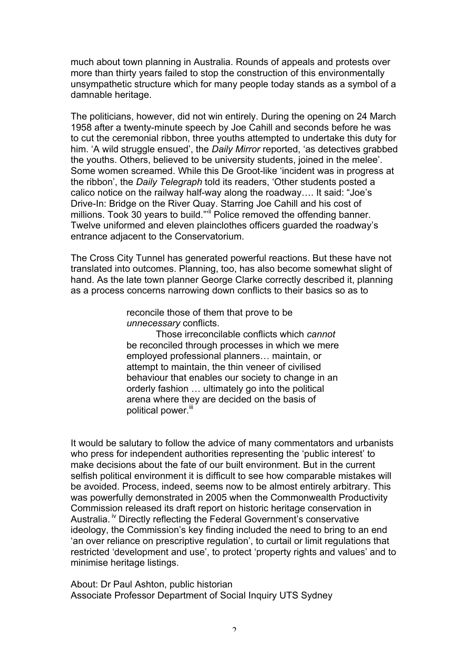much about town planning in Australia. Rounds of appeals and protests over more than thirty years failed to stop the construction of this environmentally unsympathetic structure which for many people today stands as a symbol of a damnable heritage.

The politicians, however, did not win entirely. During the opening on 24 March 1958 after a twenty-minute speech by Joe Cahill and seconds before he was to cut the ceremonial ribbon, three youths attempted to undertake this duty for him. 'A wild struggle ensued', the *Daily Mirror* reported, 'as detectives grabbed the youths. Others, believed to be university students, joined in the melee'. Some women screamed. While this De Groot-like 'incident was in progress at the ribbon', the *Daily Telegraph* told its readers, 'Other students posted a calico notice on the railway half-way along the roadway…. It said: "Joe's Drive-In: Bridge on the River Quay. Starring Joe Cahill and his cost of millions. Took 30 years to build."<sup>iif</sup> Police removed the offending banner. Twelve uniformed and eleven plainclothes officers guarded the roadway's entrance adjacent to the Conservatorium.

The Cross City Tunnel has generated powerful reactions. But these have not translated into outcomes. Planning, too, has also become somewhat slight of hand. As the late town planner George Clarke correctly described it, planning as a process concerns narrowing down conflicts to their basics so as to

> reconcile those of them that prove to be *unnecessary* conflicts.

Those irreconcilable conflicts which *cannot* be reconciled through processes in which we mere employed professional planners… maintain, or attempt to maintain, the thin veneer of civilised behaviour that enables our society to change in an orderly fashion … ultimately go into the political arena where they are decided on the basis of political power.<sup>iii</sup>

It would be salutary to follow the advice of many commentators and urbanists who press for independent authorities representing the 'public interest' to make decisions about the fate of our built environment. But in the current selfish political environment it is difficult to see how comparable mistakes will be avoided. Process, indeed, seems now to be almost entirely arbitrary. This was powerfully demonstrated in 2005 when the Commonwealth Productivity Commission released its draft report on historic heritage conservation in Australia.<sup>iv</sup> Directly reflecting the Federal Government's conservative ideology, the Commission's key finding included the need to bring to an end 'an over reliance on prescriptive regulation', to curtail or limit regulations that restricted 'development and use', to protect 'property rights and values' and to minimise heritage listings.

About: Dr Paul Ashton, public historian Associate Professor Department of Social Inquiry UTS Sydney